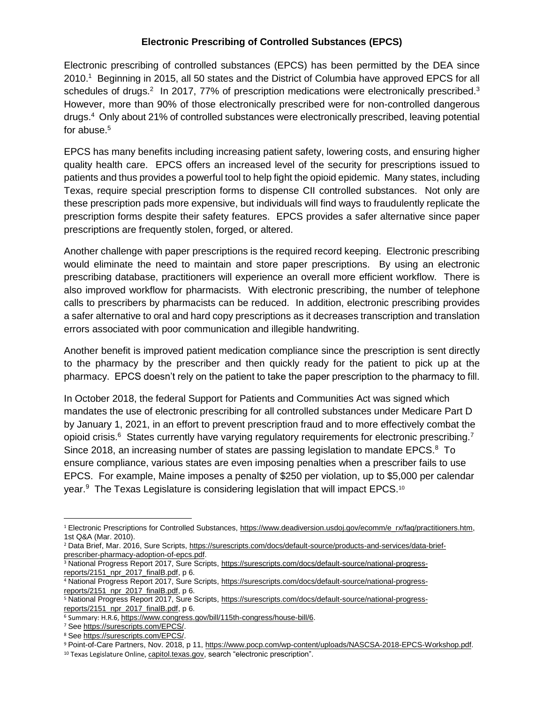## **Electronic Prescribing of Controlled Substances (EPCS)**

Electronic prescribing of controlled substances (EPCS) has been permitted by the DEA since 2010.<sup>1</sup> Beginning in 2015, all 50 states and the District of Columbia have approved EPCS for all schedules of drugs.<sup>2</sup> In 2017, 77% of prescription medications were electronically prescribed.<sup>3</sup> However, more than 90% of those electronically prescribed were for non-controlled dangerous drugs. <sup>4</sup> Only about 21% of controlled substances were electronically prescribed, leaving potential for abuse. $5$ 

EPCS has many benefits including increasing patient safety, lowering costs, and ensuring higher quality health care. EPCS offers an increased level of the security for prescriptions issued to patients and thus provides a powerful tool to help fight the opioid epidemic. Many states, including Texas, require special prescription forms to dispense CII controlled substances. Not only are these prescription pads more expensive, but individuals will find ways to fraudulently replicate the prescription forms despite their safety features. EPCS provides a safer alternative since paper prescriptions are frequently stolen, forged, or altered.

Another challenge with paper prescriptions is the required record keeping. Electronic prescribing would eliminate the need to maintain and store paper prescriptions. By using an electronic prescribing database, practitioners will experience an overall more efficient workflow. There is also improved workflow for pharmacists. With electronic prescribing, the number of telephone calls to prescribers by pharmacists can be reduced. In addition, electronic prescribing provides a safer alternative to oral and hard copy prescriptions as it decreases transcription and translation errors associated with poor communication and illegible handwriting.

Another benefit is improved patient medication compliance since the prescription is sent directly to the pharmacy by the prescriber and then quickly ready for the patient to pick up at the pharmacy. EPCS doesn't rely on the patient to take the paper prescription to the pharmacy to fill.

In October 2018, the federal Support for Patients and Communities Act was signed which mandates the use of electronic prescribing for all controlled substances under Medicare Part D by January 1, 2021, in an effort to prevent prescription fraud and to more effectively combat the opioid crisis.<sup>6</sup> States currently have varying regulatory requirements for electronic prescribing.<sup>7</sup> Since 2018, an increasing number of states are passing legislation to mandate EPCS. $8\text{ To}$ ensure compliance, various states are even imposing penalties when a prescriber fails to use EPCS. For example, Maine imposes a penalty of \$250 per violation, up to \$5,000 per calendar year.<sup>9</sup> The Texas Legislature is considering legislation that will impact EPCS.<sup>10</sup>

<sup>7</sup> See [https://surescripts.com/EPCS/.](https://surescripts.com/EPCS/)

 $\overline{a}$ 

<sup>1</sup> Electronic Prescriptions for Controlled Substances, [https://www.deadiversion.usdoj.gov/ecomm/e\\_rx/faq/practitioners.htm,](https://www.deadiversion.usdoj.gov/ecomm/e_rx/faq/practitioners.htm) 1st Q&A (Mar. 2010).

<sup>&</sup>lt;sup>2</sup> Data Brief, Mar. 2016, Sure Scripts, [https://surescripts.com/docs/default-source/products-and-services/data-brief](https://surescripts.com/docs/default-source/products-and-services/data-brief-prescriber-pharmacy-adoption-of-epcs.pdf)[prescriber-pharmacy-adoption-of-epcs.pdf.](https://surescripts.com/docs/default-source/products-and-services/data-brief-prescriber-pharmacy-adoption-of-epcs.pdf)

<sup>3</sup> National Progress Report 2017, Sure Scripts, [https://surescripts.com/docs/default-source/national-progress](https://surescripts.com/docs/default-source/national-progress-reports/2151_npr_2017_finalB.pdf)[reports/2151\\_npr\\_2017\\_finalB.pdf,](https://surescripts.com/docs/default-source/national-progress-reports/2151_npr_2017_finalB.pdf) p 6.

<sup>4</sup> National Progress Report 2017, Sure Scripts, [https://surescripts.com/docs/default-source/national-progress](https://surescripts.com/docs/default-source/national-progress-reports/2151_npr_2017_finalB.pdf)[reports/2151\\_npr\\_2017\\_finalB.pdf,](https://surescripts.com/docs/default-source/national-progress-reports/2151_npr_2017_finalB.pdf) p 6.

<sup>5</sup> National Progress Report 2017, Sure Scripts, [https://surescripts.com/docs/default-source/national-progress](https://surescripts.com/docs/default-source/national-progress-reports/2151_npr_2017_finalB.pdf)[reports/2151\\_npr\\_2017\\_finalB.pdf,](https://surescripts.com/docs/default-source/national-progress-reports/2151_npr_2017_finalB.pdf) p 6.

<sup>6</sup> Summary: H.R.6, [https://www.congress.gov/bill/115th-congress/house-bill/6.](https://www.congress.gov/bill/115th-congress/house-bill/6)

<sup>8</sup> See [https://surescripts.com/EPCS/.](https://surescripts.com/EPCS/)

<sup>9</sup> Point-of-Care Partners, Nov. 2018, p 11, [https://www.pocp.com/wp-content/uploads/NASCSA-2018-EPCS-Workshop.pdf.](https://www.pocp.com/wp-content/uploads/NASCSA-2018-EPCS-Workshop.pdf)

<sup>10</sup> Texas Legislature Online, capitol.texas.gov, search "electronic prescription".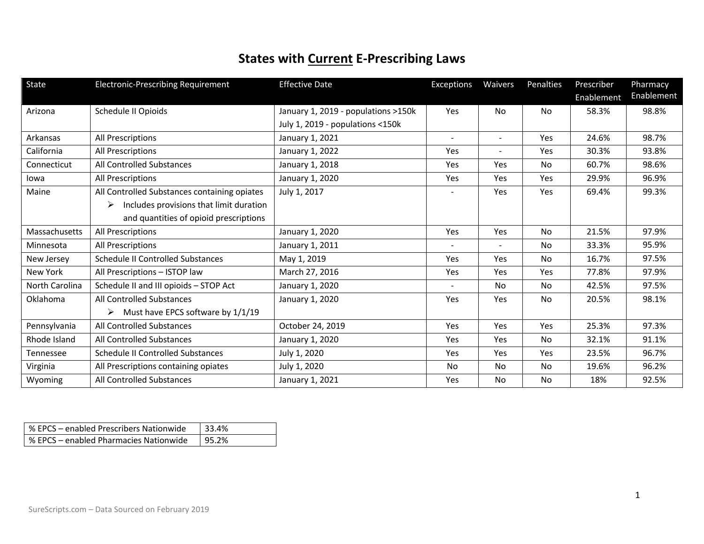## **States with Current E-Prescribing Laws**

| State          | Electronic-Prescribing Requirement                 | <b>Effective Date</b>               | Exceptions     | Waivers        | Penalties | Prescriber | Pharmacy   |
|----------------|----------------------------------------------------|-------------------------------------|----------------|----------------|-----------|------------|------------|
|                |                                                    |                                     |                |                |           | Enablement | Enablement |
| Arizona        | Schedule II Opioids                                | January 1, 2019 - populations >150k | Yes            | <b>No</b>      | No        | 58.3%      | 98.8%      |
|                |                                                    | July 1, 2019 - populations <150k    |                |                |           |            |            |
| Arkansas       | All Prescriptions                                  | January 1, 2021                     | $\sim$         | $\sim$         | Yes       | 24.6%      | 98.7%      |
| California     | All Prescriptions                                  | January 1, 2022                     | Yes            | $\blacksquare$ | Yes       | 30.3%      | 93.8%      |
| Connecticut    | All Controlled Substances                          | January 1, 2018                     | <b>Yes</b>     | Yes            | <b>No</b> | 60.7%      | 98.6%      |
| lowa           | All Prescriptions                                  | January 1, 2020                     | <b>Yes</b>     | Yes            | Yes       | 29.9%      | 96.9%      |
| Maine          | All Controlled Substances containing opiates       | July 1, 2017                        |                | Yes            | Yes       | 69.4%      | 99.3%      |
|                | Includes provisions that limit duration<br>➤       |                                     |                |                |           |            |            |
|                | and quantities of opioid prescriptions             |                                     |                |                |           |            |            |
| Massachusetts  | All Prescriptions                                  | January 1, 2020                     | Yes            | Yes            | No        | 21.5%      | 97.9%      |
| Minnesota      | All Prescriptions                                  | January 1, 2011                     | $\blacksquare$ | $\blacksquare$ | <b>No</b> | 33.3%      | 95.9%      |
| New Jersey     | Schedule II Controlled Substances                  | May 1, 2019                         | Yes            | Yes            | No        | 16.7%      | 97.5%      |
| New York       | All Prescriptions - ISTOP law                      | March 27, 2016                      | Yes            | Yes            | Yes       | 77.8%      | 97.9%      |
| North Carolina | Schedule II and III opioids - STOP Act             | January 1, 2020                     |                | No.            | No        | 42.5%      | 97.5%      |
| Oklahoma       | All Controlled Substances                          | January 1, 2020                     | Yes            | <b>Yes</b>     | No        | 20.5%      | 98.1%      |
|                | $\triangleright$ Must have EPCS software by 1/1/19 |                                     |                |                |           |            |            |
| Pennsylvania   | All Controlled Substances                          | October 24, 2019                    | Yes            | Yes            | Yes       | 25.3%      | 97.3%      |
| Rhode Island   | All Controlled Substances                          | January 1, 2020                     | Yes            | <b>Yes</b>     | <b>No</b> | 32.1%      | 91.1%      |
| Tennessee      | Schedule II Controlled Substances                  | July 1, 2020                        | <b>Yes</b>     | Yes            | Yes       | 23.5%      | 96.7%      |
| Virginia       | All Prescriptions containing opiates               | July 1, 2020                        | No.            | N <sub>o</sub> | No        | 19.6%      | 96.2%      |
| Wyoming        | All Controlled Substances                          | January 1, 2021                     | Yes            | <b>No</b>      | No        | 18%        | 92.5%      |

| % EPCS – enabled Prescribers Nationwide | -33.4% |
|-----------------------------------------|--------|
| % EPCS – enabled Pharmacies Nationwide  | 95.2%  |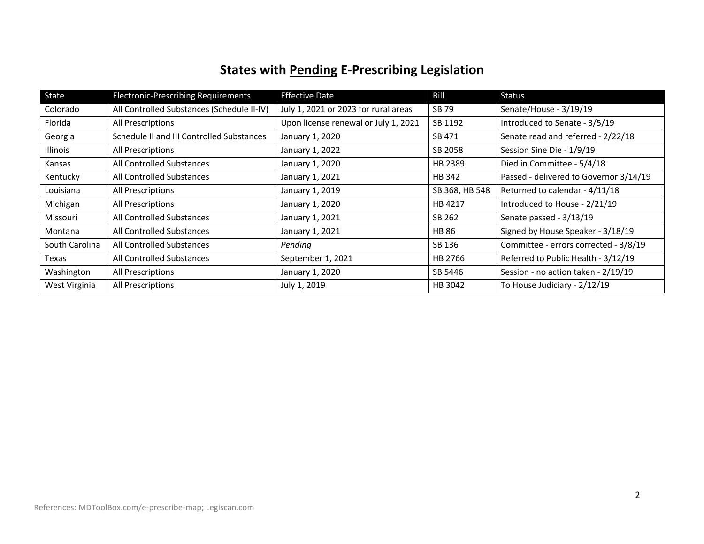## **States with Pending E-Prescribing Legislation**

| State          | <b>Electronic-Prescribing Requirements</b> | <b>Effective Date</b>                | Bill           | Status                                 |
|----------------|--------------------------------------------|--------------------------------------|----------------|----------------------------------------|
| Colorado       | All Controlled Substances (Schedule II-IV) | July 1, 2021 or 2023 for rural areas | SB 79          | Senate/House - 3/19/19                 |
| Florida        | All Prescriptions                          | Upon license renewal or July 1, 2021 | SB 1192        | Introduced to Senate - 3/5/19          |
| Georgia        | Schedule II and III Controlled Substances  | January 1, 2020                      | SB 471         | Senate read and referred - 2/22/18     |
| Illinois       | All Prescriptions                          | January 1, 2022                      | SB 2058        | Session Sine Die - 1/9/19              |
| Kansas         | All Controlled Substances                  | January 1, 2020                      | HB 2389        | Died in Committee - 5/4/18             |
| Kentucky       | All Controlled Substances                  | January 1, 2021                      | HB 342         | Passed - delivered to Governor 3/14/19 |
| Louisiana      | All Prescriptions                          | January 1, 2019                      | SB 368, HB 548 | Returned to calendar - 4/11/18         |
| Michigan       | All Prescriptions                          | January 1, 2020                      | HB 4217        | Introduced to House - 2/21/19          |
| Missouri       | All Controlled Substances                  | January 1, 2021                      | SB 262         | Senate passed - 3/13/19                |
| Montana        | All Controlled Substances                  | January 1, 2021                      | <b>HB 86</b>   | Signed by House Speaker - 3/18/19      |
| South Carolina | All Controlled Substances                  | Pendina                              | SB 136         | Committee - errors corrected - 3/8/19  |
| Texas          | All Controlled Substances                  | September 1, 2021                    | HB 2766        | Referred to Public Health - 3/12/19    |
| Washington     | All Prescriptions                          | January 1, 2020                      | SB 5446        | Session - no action taken - 2/19/19    |
| West Virginia  | All Prescriptions                          | July 1, 2019                         | HB 3042        | To House Judiciary - 2/12/19           |